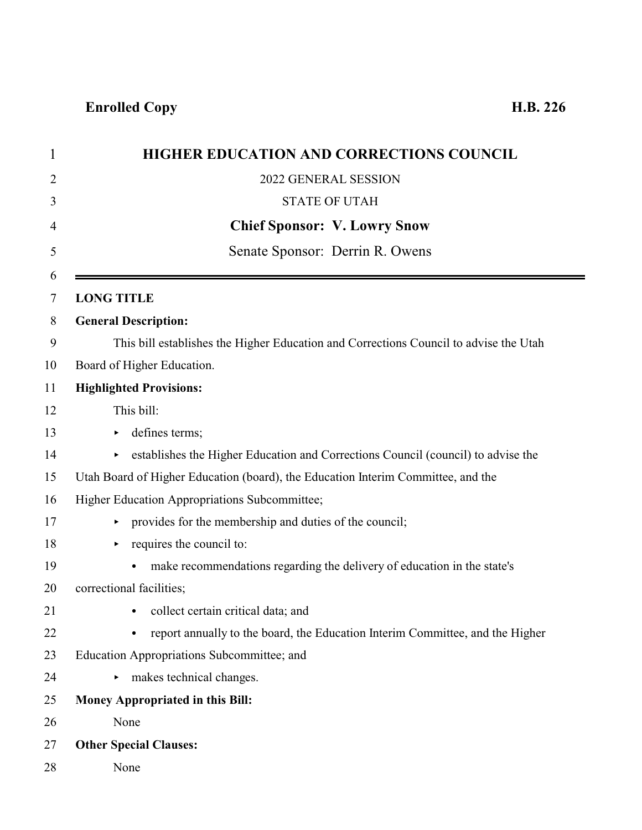| $\mathbf{1}$ | <b>HIGHER EDUCATION AND CORRECTIONS COUNCIL</b>                                        |
|--------------|----------------------------------------------------------------------------------------|
| 2            | 2022 GENERAL SESSION                                                                   |
| 3            | <b>STATE OF UTAH</b>                                                                   |
| 4            | <b>Chief Sponsor: V. Lowry Snow</b>                                                    |
| 5            | Senate Sponsor: Derrin R. Owens                                                        |
| 6<br>7       | <b>LONG TITLE</b>                                                                      |
| 8            | <b>General Description:</b>                                                            |
| 9            | This bill establishes the Higher Education and Corrections Council to advise the Utah  |
| 10           | Board of Higher Education.                                                             |
| 11           | <b>Highlighted Provisions:</b>                                                         |
| 12           | This bill:                                                                             |
| 13           | defines terms;                                                                         |
| 14           | establishes the Higher Education and Corrections Council (council) to advise the<br>Þ. |
| 15           | Utah Board of Higher Education (board), the Education Interim Committee, and the       |
| 16           | Higher Education Appropriations Subcommittee;                                          |
| 17           | provides for the membership and duties of the council;<br>►                            |
| 18           | requires the council to:                                                               |
| 19           | make recommendations regarding the delivery of education in the state's<br>$\bullet$   |
| 20           | correctional facilities;                                                               |
| 21           | collect certain critical data; and<br>$\bullet$                                        |
| 22           | report annually to the board, the Education Interim Committee, and the Higher          |
| 23           | Education Appropriations Subcommittee; and                                             |
| 24           | makes technical changes.                                                               |
| 25           | Money Appropriated in this Bill:                                                       |
| 26           | None                                                                                   |
| 27           | <b>Other Special Clauses:</b>                                                          |
| 28           | None                                                                                   |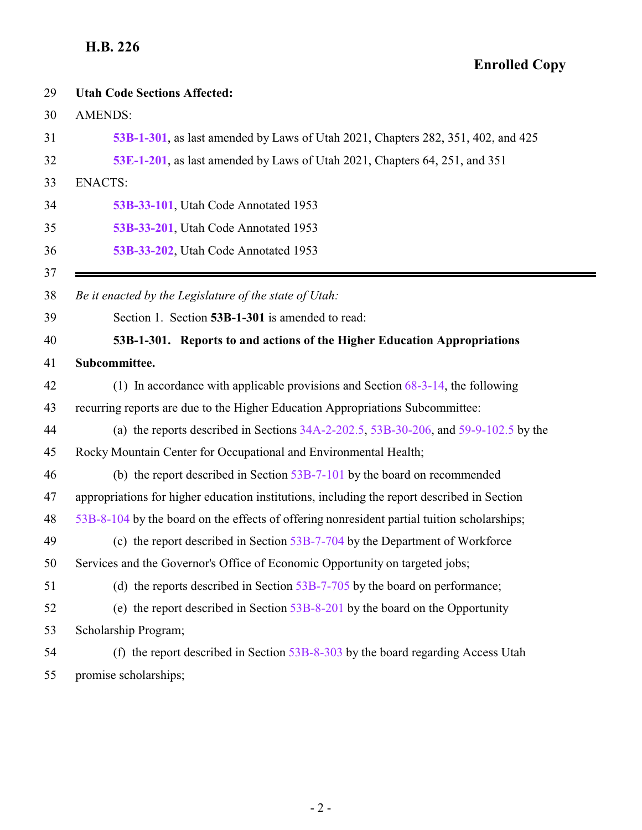<span id="page-1-0"></span>

| 29 | <b>Utah Code Sections Affected:</b>                                                          |
|----|----------------------------------------------------------------------------------------------|
| 30 | <b>AMENDS:</b>                                                                               |
| 31 | 53B-1-301, as last amended by Laws of Utah 2021, Chapters 282, 351, 402, and 425             |
| 32 | 53E-1-201, as last amended by Laws of Utah 2021, Chapters 64, 251, and 351                   |
| 33 | <b>ENACTS:</b>                                                                               |
| 34 | 53B-33-101, Utah Code Annotated 1953                                                         |
| 35 | 53B-33-201, Utah Code Annotated 1953                                                         |
| 36 | 53B-33-202, Utah Code Annotated 1953                                                         |
| 37 |                                                                                              |
| 38 | Be it enacted by the Legislature of the state of Utah:                                       |
| 39 | Section 1. Section 53B-1-301 is amended to read:                                             |
| 40 | 53B-1-301. Reports to and actions of the Higher Education Appropriations                     |
| 41 | Subcommittee.                                                                                |
| 42 | (1) In accordance with applicable provisions and Section $68-3-14$ , the following           |
| 43 | recurring reports are due to the Higher Education Appropriations Subcommittee:               |
| 44 | (a) the reports described in Sections $34A-2-202.5$ , $53B-30-206$ , and $59-9-102.5$ by the |
| 45 | Rocky Mountain Center for Occupational and Environmental Health;                             |
| 46 | (b) the report described in Section $53B-7-101$ by the board on recommended                  |
| 47 | appropriations for higher education institutions, including the report described in Section  |
| 48 | 53B-8-104 by the board on the effects of offering nonresident partial tuition scholarships;  |
| 49 | (c) the report described in Section $53B-7-704$ by the Department of Workforce               |
| 50 | Services and the Governor's Office of Economic Opportunity on targeted jobs;                 |
| 51 | (d) the reports described in Section $53B-7-705$ by the board on performance;                |
| 52 | (e) the report described in Section $53B-8-201$ by the board on the Opportunity              |
| 53 | Scholarship Program;                                                                         |
| 54 | (f) the report described in Section $53B-8-303$ by the board regarding Access Utah           |
| 55 | promise scholarships;                                                                        |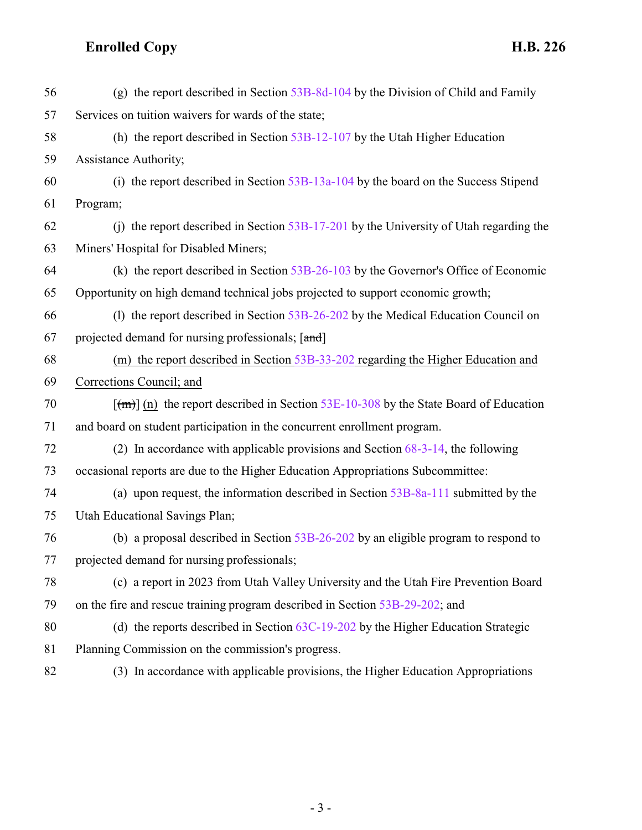| 56      | (g) the report described in Section $53B-8d-104$ by the Division of Child and Family        |
|---------|---------------------------------------------------------------------------------------------|
| 57      | Services on tuition waivers for wards of the state;                                         |
| 58      | (h) the report described in Section $53B-12-107$ by the Utah Higher Education               |
| 59      | Assistance Authority;                                                                       |
| 60      | (i) the report described in Section $53B-13a-104$ by the board on the Success Stipend       |
| 61      | Program;                                                                                    |
| 62      | (i) the report described in Section $53B-17-201$ by the University of Utah regarding the    |
| 63      | Miners' Hospital for Disabled Miners;                                                       |
| 64      | (k) the report described in Section $53B-26-103$ by the Governor's Office of Economic       |
| 65      | Opportunity on high demand technical jobs projected to support economic growth;             |
| 66      | (1) the report described in Section 53B-26-202 by the Medical Education Council on          |
| 67      | projected demand for nursing professionals; [and]                                           |
| 68      | (m) the report described in Section 53B-33-202 regarding the Higher Education and           |
| 69      | Corrections Council; and                                                                    |
| 70      | $\lceil$ (m) (n) the report described in Section 53E-10-308 by the State Board of Education |
| 71      | and board on student participation in the concurrent enrollment program.                    |
| 72      | (2) In accordance with applicable provisions and Section $68-3-14$ , the following          |
| 73      | occasional reports are due to the Higher Education Appropriations Subcommittee:             |
| 74      | (a) upon request, the information described in Section $53B-8a-111$ submitted by the        |
| 75      | Utah Educational Savings Plan;                                                              |
| 76      | (b) a proposal described in Section $53B-26-202$ by an eligible program to respond to       |
| $77 \,$ | projected demand for nursing professionals;                                                 |
| 78      | (c) a report in 2023 from Utah Valley University and the Utah Fire Prevention Board         |
| 79      | on the fire and rescue training program described in Section 53B-29-202; and                |
| 80      | (d) the reports described in Section $63C-19-202$ by the Higher Education Strategic         |
| 81      | Planning Commission on the commission's progress.                                           |
| 82      | (3) In accordance with applicable provisions, the Higher Education Appropriations           |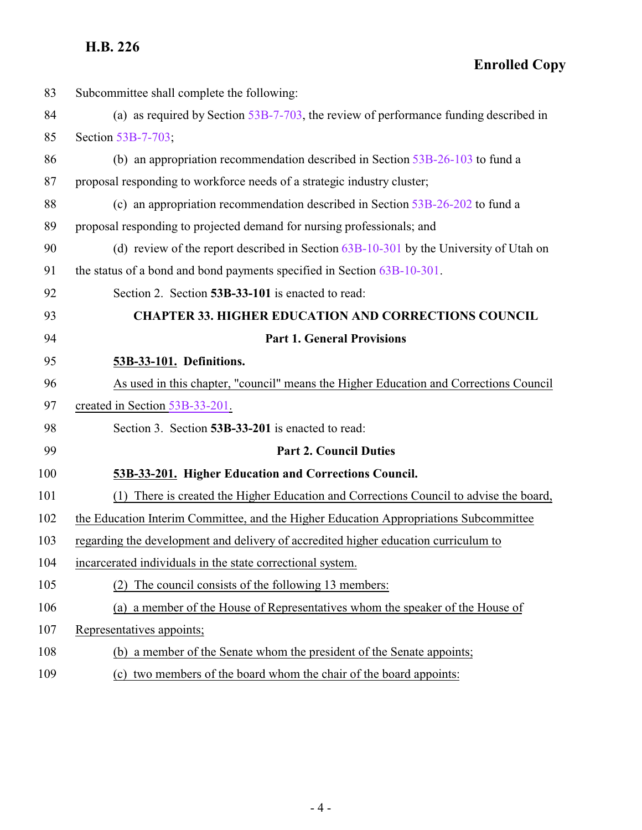**Enrolled Copy**

<span id="page-3-1"></span><span id="page-3-0"></span>

| 83  | Subcommittee shall complete the following:                                                |
|-----|-------------------------------------------------------------------------------------------|
| 84  | (a) as required by Section $53B-7-703$ , the review of performance funding described in   |
| 85  | Section 53B-7-703;                                                                        |
| 86  | (b) an appropriation recommendation described in Section $53B-26-103$ to fund a           |
| 87  | proposal responding to workforce needs of a strategic industry cluster;                   |
| 88  | (c) an appropriation recommendation described in Section $53B-26-202$ to fund a           |
| 89  | proposal responding to projected demand for nursing professionals; and                    |
| 90  | (d) review of the report described in Section $63B-10-301$ by the University of Utah on   |
| 91  | the status of a bond and bond payments specified in Section 63B-10-301.                   |
| 92  | Section 2. Section 53B-33-101 is enacted to read:                                         |
| 93  | <b>CHAPTER 33. HIGHER EDUCATION AND CORRECTIONS COUNCIL</b>                               |
| 94  | <b>Part 1. General Provisions</b>                                                         |
| 95  | 53B-33-101. Definitions.                                                                  |
| 96  | As used in this chapter, "council" means the Higher Education and Corrections Council     |
| 97  | created in Section 53B-33-201.                                                            |
| 98  | Section 3. Section 53B-33-201 is enacted to read:                                         |
| 99  | <b>Part 2. Council Duties</b>                                                             |
| 100 | 53B-33-201. Higher Education and Corrections Council.                                     |
| 101 | There is created the Higher Education and Corrections Council to advise the board,<br>(1) |
| 102 | the Education Interim Committee, and the Higher Education Appropriations Subcommittee     |
| 103 | regarding the development and delivery of accredited higher education curriculum to       |
| 104 | incarcerated individuals in the state correctional system.                                |
| 105 | The council consists of the following 13 members:                                         |
| 106 | (a) a member of the House of Representatives whom the speaker of the House of             |
| 107 | Representatives appoints;                                                                 |
| 108 | (b) a member of the Senate whom the president of the Senate appoints;                     |
| 109 | (c) two members of the board whom the chair of the board appoints:                        |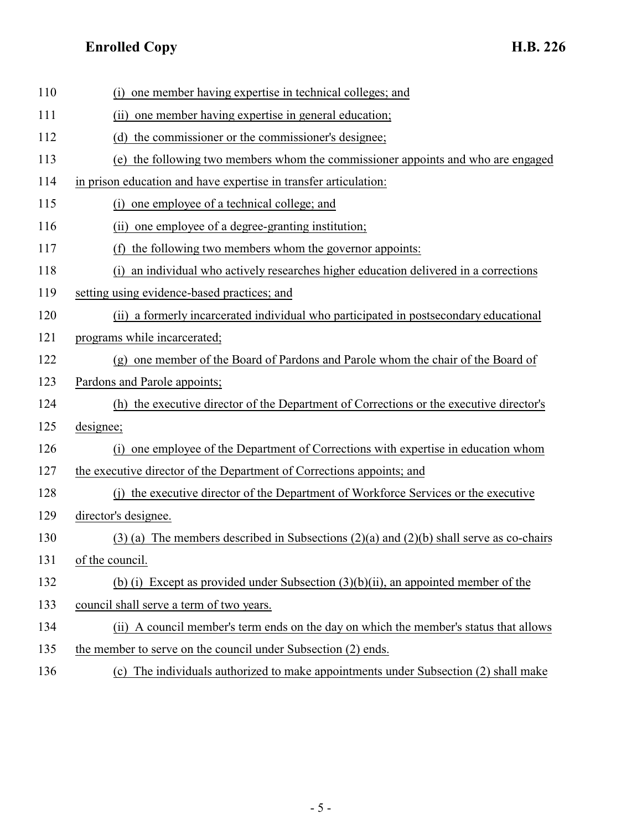| 110 | one member having expertise in technical colleges; and<br>(i)                                 |
|-----|-----------------------------------------------------------------------------------------------|
| 111 | (ii) one member having expertise in general education;                                        |
| 112 | the commissioner or the commissioner's designee;<br>(d)                                       |
| 113 | the following two members whom the commissioner appoints and who are engaged<br>(e)           |
| 114 | in prison education and have expertise in transfer articulation:                              |
| 115 | one employee of a technical college; and<br>(i)                                               |
| 116 | (ii) one employee of a degree-granting institution;                                           |
| 117 | (f) the following two members whom the governor appoints:                                     |
| 118 | an individual who actively researches higher education delivered in a corrections<br>(i)      |
| 119 | setting using evidence-based practices; and                                                   |
| 120 | (ii) a formerly incarcerated individual who participated in postsecondary educational         |
| 121 | programs while incarcerated;                                                                  |
| 122 | (g) one member of the Board of Pardons and Parole whom the chair of the Board of              |
| 123 | Pardons and Parole appoints;                                                                  |
| 124 | (h) the executive director of the Department of Corrections or the executive director's       |
| 125 | designee;                                                                                     |
| 126 | one employee of the Department of Corrections with expertise in education whom<br>(i)         |
| 127 | the executive director of the Department of Corrections appoints; and                         |
| 128 | (i) the executive director of the Department of Workforce Services or the executive           |
| 129 | director's designee.                                                                          |
| 130 | $(3)$ (a) The members described in Subsections $(2)(a)$ and $(2)(b)$ shall serve as co-chairs |
| 131 | of the council.                                                                               |
| 132 | (b) (i) Except as provided under Subsection $(3)(b)(ii)$ , an appointed member of the         |
| 133 | council shall serve a term of two years.                                                      |
| 134 | (ii) A council member's term ends on the day on which the member's status that allows         |
| 135 | the member to serve on the council under Subsection (2) ends.                                 |
| 136 | (c) The individuals authorized to make appointments under Subsection (2) shall make           |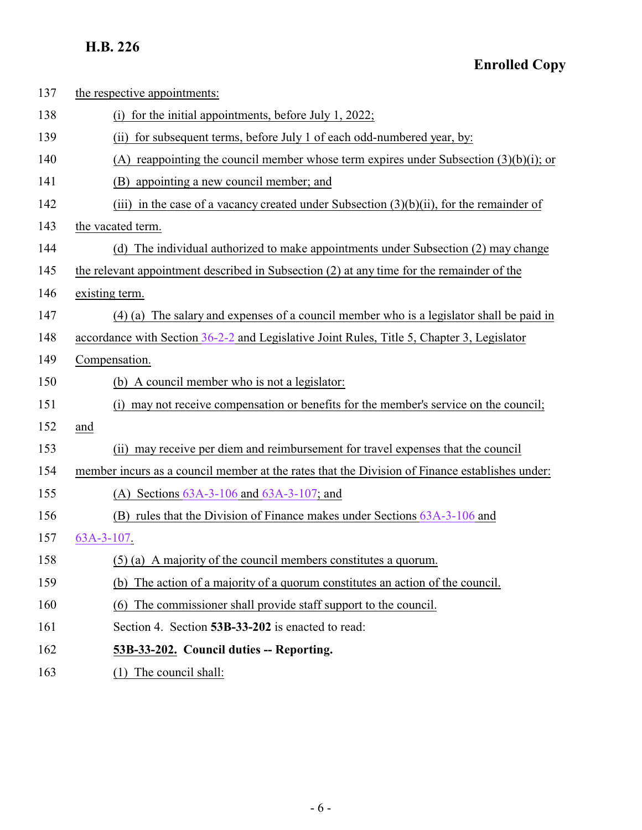<span id="page-5-0"></span>

| 137 | the respective appointments:                                                                   |
|-----|------------------------------------------------------------------------------------------------|
| 138 | (i) for the initial appointments, before July 1, 2022;                                         |
| 139 | (ii) for subsequent terms, before July 1 of each odd-numbered year, by:                        |
| 140 | (A) reappointing the council member whose term expires under Subsection $(3)(b)(i)$ ; or       |
| 141 | appointing a new council member; and<br>(B)                                                    |
| 142 | (iii) in the case of a vacancy created under Subsection $(3)(b)(ii)$ , for the remainder of    |
| 143 | the vacated term.                                                                              |
| 144 | (d) The individual authorized to make appointments under Subsection (2) may change             |
| 145 | the relevant appointment described in Subsection (2) at any time for the remainder of the      |
| 146 | existing term.                                                                                 |
| 147 | (4) (a) The salary and expenses of a council member who is a legislator shall be paid in       |
| 148 | accordance with Section 36-2-2 and Legislative Joint Rules, Title 5, Chapter 3, Legislator     |
| 149 | Compensation.                                                                                  |
| 150 | (b) A council member who is not a legislator:                                                  |
| 151 | (i) may not receive compensation or benefits for the member's service on the council;          |
| 152 | and                                                                                            |
| 153 | (ii) may receive per diem and reimbursement for travel expenses that the council               |
| 154 | member incurs as a council member at the rates that the Division of Finance establishes under: |
| 155 | (A) Sections $63A-3-106$ and $63A-3-107$ ; and                                                 |
| 156 | (B) rules that the Division of Finance makes under Sections 63A-3-106 and                      |
| 157 | 63A-3-107.                                                                                     |
| 158 | $(5)$ (a) A majority of the council members constitutes a quorum.                              |
| 159 | The action of a majority of a quorum constitutes an action of the council.<br>(b)              |
| 160 | The commissioner shall provide staff support to the council.<br>(6)                            |
| 161 | Section 4. Section 53B-33-202 is enacted to read:                                              |
| 162 | 53B-33-202. Council duties -- Reporting.                                                       |
| 163 | (1) The council shall:                                                                         |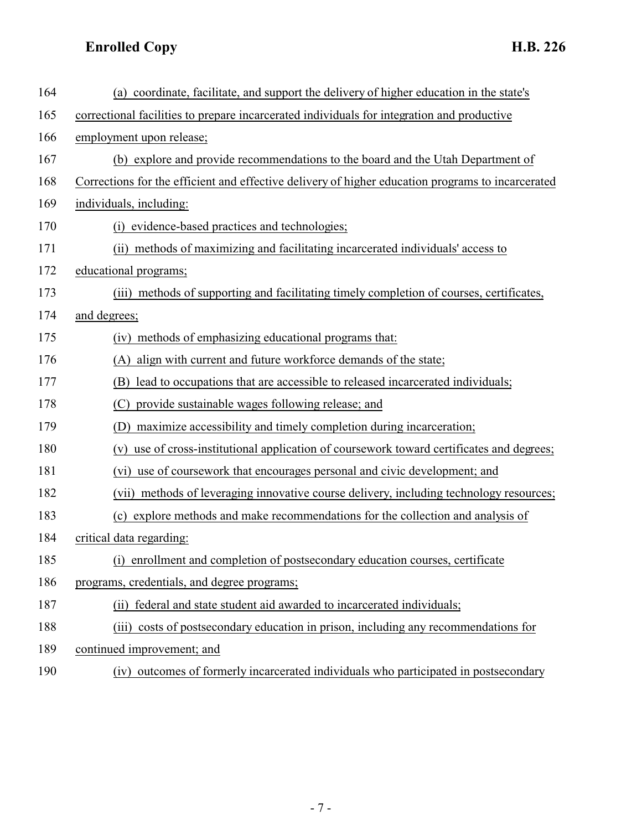| 164 | (a) coordinate, facilitate, and support the delivery of higher education in the state's           |
|-----|---------------------------------------------------------------------------------------------------|
| 165 | correctional facilities to prepare incarcerated individuals for integration and productive        |
| 166 | employment upon release;                                                                          |
| 167 | (b) explore and provide recommendations to the board and the Utah Department of                   |
| 168 | Corrections for the efficient and effective delivery of higher education programs to incarcerated |
| 169 | individuals, including:                                                                           |
| 170 | (i) evidence-based practices and technologies;                                                    |
| 171 | (ii) methods of maximizing and facilitating incarcerated individuals' access to                   |
| 172 | educational programs;                                                                             |
| 173 | (iii) methods of supporting and facilitating timely completion of courses, certificates,          |
| 174 | and degrees;                                                                                      |
| 175 | methods of emphasizing educational programs that:<br>(iv)                                         |
| 176 | align with current and future workforce demands of the state;<br>(A)                              |
| 177 | lead to occupations that are accessible to released incarcerated individuals;<br>(B)              |
| 178 | provide sustainable wages following release; and<br>(C)                                           |
| 179 | maximize accessibility and timely completion during incarceration;<br>(D)                         |
| 180 | use of cross-institutional application of coursework toward certificates and degrees;<br>(v)      |
| 181 | use of coursework that encourages personal and civic development; and<br>(vi)                     |
| 182 | (vii) methods of leveraging innovative course delivery, including technology resources;           |
| 183 | (c) explore methods and make recommendations for the collection and analysis of                   |
| 184 | critical data regarding:                                                                          |
| 185 | enrollment and completion of postsecondary education courses, certificate<br>(i)                  |
| 186 | programs, credentials, and degree programs;                                                       |
| 187 | federal and state student aid awarded to incarcerated individuals;<br>(ii)                        |
| 188 | costs of postsecondary education in prison, including any recommendations for<br>(iii)            |
| 189 | continued improvement; and                                                                        |
| 190 | outcomes of formerly incarcerated individuals who participated in postsecondary<br>(iv)           |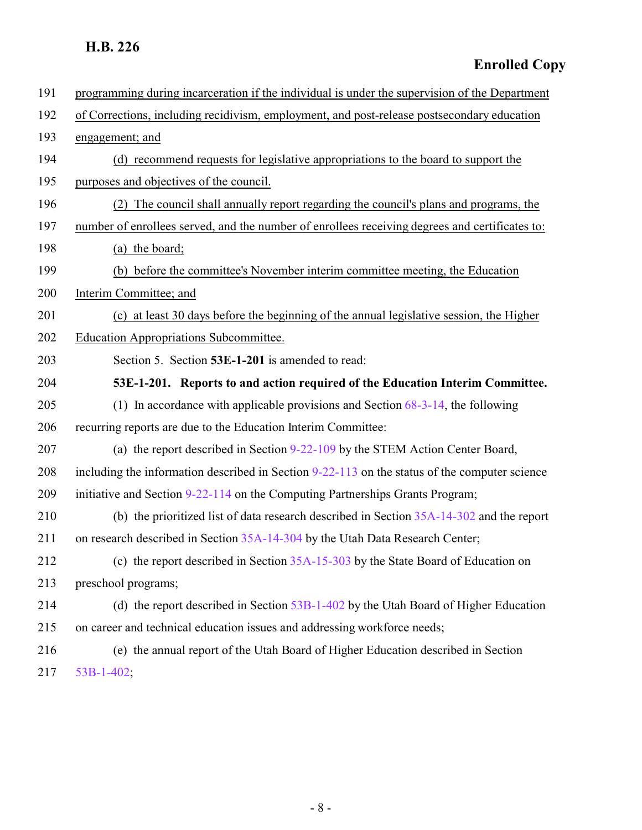**Enrolled Copy**

<span id="page-7-0"></span>

| 191 | programming during incarceration if the individual is under the supervision of the Department   |
|-----|-------------------------------------------------------------------------------------------------|
| 192 | of Corrections, including recidivism, employment, and post-release postsecondary education      |
| 193 | engagement; and                                                                                 |
| 194 | (d) recommend requests for legislative appropriations to the board to support the               |
| 195 | purposes and objectives of the council.                                                         |
| 196 | (2) The council shall annually report regarding the council's plans and programs, the           |
| 197 | number of enrollees served, and the number of enrollees receiving degrees and certificates to:  |
| 198 | (a) the board;                                                                                  |
| 199 | (b) before the committee's November interim committee meeting, the Education                    |
| 200 | Interim Committee; and                                                                          |
| 201 | (c) at least 30 days before the beginning of the annual legislative session, the Higher         |
| 202 | Education Appropriations Subcommittee.                                                          |
| 203 | Section 5. Section 53E-1-201 is amended to read:                                                |
| 204 | 53E-1-201. Reports to and action required of the Education Interim Committee.                   |
| 205 | (1) In accordance with applicable provisions and Section $68-3-14$ , the following              |
| 206 | recurring reports are due to the Education Interim Committee:                                   |
| 207 | (a) the report described in Section 9-22-109 by the STEM Action Center Board,                   |
| 208 | including the information described in Section $9-22-113$ on the status of the computer science |
| 209 | initiative and Section 9-22-114 on the Computing Partnerships Grants Program;                   |
| 210 | (b) the prioritized list of data research described in Section 35A-14-302 and the report        |
| 211 | on research described in Section 35A-14-304 by the Utah Data Research Center;                   |
| 212 | (c) the report described in Section $35A-15-303$ by the State Board of Education on             |
| 213 | preschool programs;                                                                             |
| 214 | (d) the report described in Section $53B-1-402$ by the Utah Board of Higher Education           |
| 215 | on career and technical education issues and addressing workforce needs;                        |
| 216 | (e) the annual report of the Utah Board of Higher Education described in Section                |
| 217 | 53B-1-402;                                                                                      |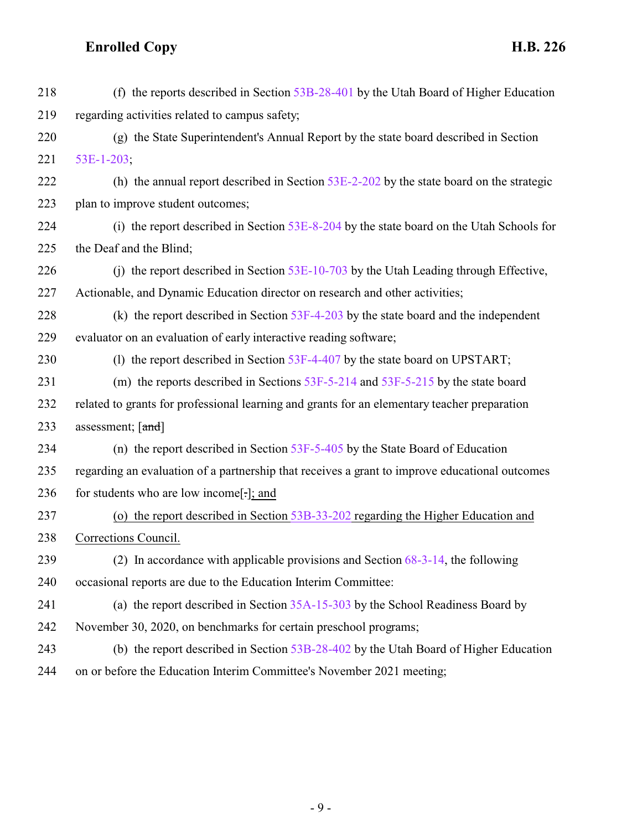| 218 | (f) the reports described in Section $53B-28-401$ by the Utah Board of Higher Education        |
|-----|------------------------------------------------------------------------------------------------|
| 219 | regarding activities related to campus safety;                                                 |
| 220 | (g) the State Superintendent's Annual Report by the state board described in Section           |
| 221 | 53E-1-203;                                                                                     |
| 222 | (h) the annual report described in Section $53E-2-202$ by the state board on the strategic     |
| 223 | plan to improve student outcomes;                                                              |
| 224 | (i) the report described in Section 53E-8-204 by the state board on the Utah Schools for       |
| 225 | the Deaf and the Blind;                                                                        |
| 226 | (j) the report described in Section $53E-10-703$ by the Utah Leading through Effective,        |
| 227 | Actionable, and Dynamic Education director on research and other activities;                   |
| 228 | (k) the report described in Section $53F-4-203$ by the state board and the independent         |
| 229 | evaluator on an evaluation of early interactive reading software;                              |
| 230 | (1) the report described in Section 53F-4-407 by the state board on UPSTART;                   |
| 231 | (m) the reports described in Sections $53F-5-214$ and $53F-5-215$ by the state board           |
| 232 | related to grants for professional learning and grants for an elementary teacher preparation   |
| 233 | assessment; [and]                                                                              |
| 234 | (n) the report described in Section $53F-5-405$ by the State Board of Education                |
| 235 | regarding an evaluation of a partnership that receives a grant to improve educational outcomes |
| 236 | for students who are low income[.]; and                                                        |
| 237 | (o) the report described in Section 53B-33-202 regarding the Higher Education and              |
| 238 | Corrections Council.                                                                           |
| 239 | (2) In accordance with applicable provisions and Section $68-3-14$ , the following             |
| 240 | occasional reports are due to the Education Interim Committee:                                 |
| 241 | (a) the report described in Section 35A-15-303 by the School Readiness Board by                |
| 242 | November 30, 2020, on benchmarks for certain preschool programs;                               |
| 243 | (b) the report described in Section 53B-28-402 by the Utah Board of Higher Education           |
| 244 | on or before the Education Interim Committee's November 2021 meeting;                          |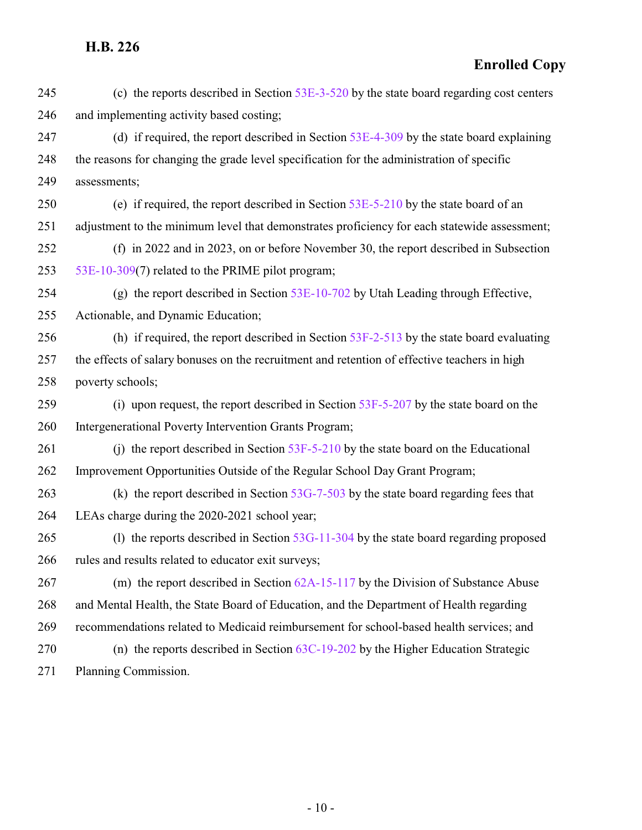#### **Enrolled Copy**

- (c) the reports described in Section [53E-3-520](http://le.utah.gov/UtahCode/SectionLookup.jsp?section=53e-3-520&session=2022GS) by the state board regarding cost centers and implementing activity based costing;
- 247 (d) if required, the report described in Section [53E-4-309](http://le.utah.gov/UtahCode/SectionLookup.jsp?section=53e-4-309&session=2022GS) by the state board explaining the reasons for changing the grade level specification for the administration of specific assessments;
- (e) if required, the report described in Section [53E-5-210](http://le.utah.gov/UtahCode/SectionLookup.jsp?section=53e-5-210&session=2022GS) by the state board of an adjustment to the minimum level that demonstrates proficiency for each statewide assessment;
- (f) in 2022 and in 2023, on or before November 30, the report described in Subsection [53E-10-309](http://le.utah.gov/UtahCode/SectionLookup.jsp?section=53e-10-309&session=2022GS)(7) related to the PRIME pilot program;
- (g) the report described in Section [53E-10-702](http://le.utah.gov/UtahCode/SectionLookup.jsp?section=53e-10-702&session=2022GS) by Utah Leading through Effective, Actionable, and Dynamic Education;
- (h) if required, the report described in Section [53F-2-513](http://le.utah.gov/UtahCode/SectionLookup.jsp?section=53f-2-513&session=2022GS) by the state board evaluating the effects of salary bonuses on the recruitment and retention of effective teachers in high poverty schools;
- 259 (i) upon request, the report described in Section [53F-5-207](http://le.utah.gov/UtahCode/SectionLookup.jsp?section=53f-5-207&session=2022GS) by the state board on the Intergenerational Poverty Intervention Grants Program;
- 261 (j) the report described in Section [53F-5-210](http://le.utah.gov/UtahCode/SectionLookup.jsp?section=53f-5-210&session=2022GS) by the state board on the Educational Improvement Opportunities Outside of the Regular School Day Grant Program;
- 263 (k) the report described in Section [53G-7-503](http://le.utah.gov/UtahCode/SectionLookup.jsp?section=53g-7-503&session=2022GS) by the state board regarding fees that LEAs charge during the 2020-2021 school year;
- 265 (l) the reports described in Section [53G-11-304](http://le.utah.gov/UtahCode/SectionLookup.jsp?section=53g-11-304&session=2022GS) by the state board regarding proposed rules and results related to educator exit surveys;
- (m) the report described in Section [62A-15-117](http://le.utah.gov/UtahCode/SectionLookup.jsp?section=62a-15-117&session=2022GS) by the Division of Substance Abuse and Mental Health, the State Board of Education, and the Department of Health regarding recommendations related to Medicaid reimbursement for school-based health services; and (n) the reports described in Section [63C-19-202](http://le.utah.gov/UtahCode/SectionLookup.jsp?section=63c-19-202&session=2022GS) by the Higher Education Strategic Planning Commission.